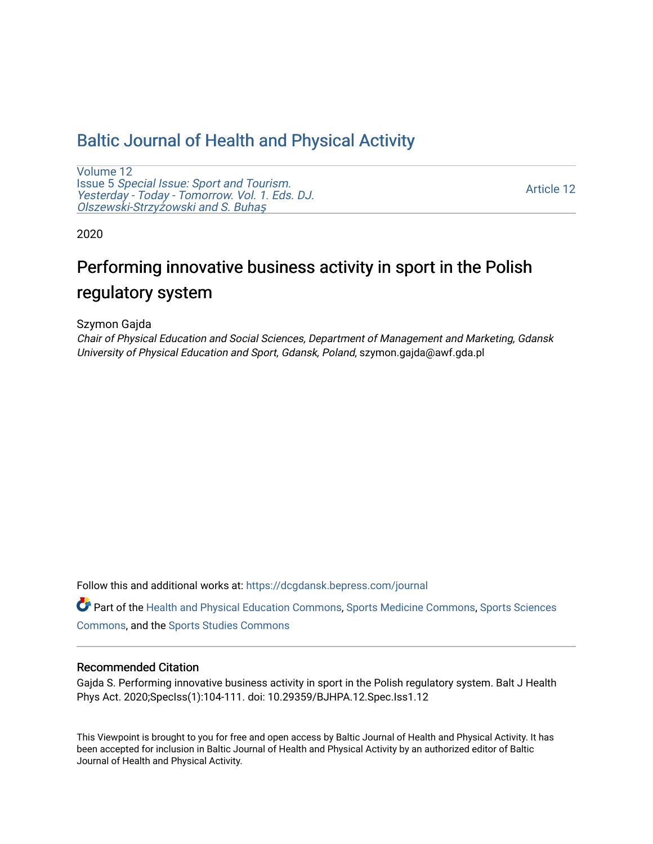## [Baltic Journal of Health and Physical Activity](https://dcgdansk.bepress.com/journal)

[Volume 12](https://dcgdansk.bepress.com/journal/vol12) Issue 5 [Special Issue: Sport and Tourism.](https://dcgdansk.bepress.com/journal/vol12/iss5)  [Yesterday - Today - Tomorrow. Vol. 1. Eds. DJ.](https://dcgdansk.bepress.com/journal/vol12/iss5)  [Olszewski-Strzy](https://dcgdansk.bepress.com/journal/vol12/iss5)żowski and S. Buhaş

[Article 12](https://dcgdansk.bepress.com/journal/vol12/iss5/12) 

2020

# Performing innovative business activity in sport in the Polish regulatory system

Szymon Gajda

Chair of Physical Education and Social Sciences, Department of Management and Marketing, Gdansk University of Physical Education and Sport, Gdansk, Poland, szymon.gajda@awf.gda.pl

Follow this and additional works at: [https://dcgdansk.bepress.com/journal](https://dcgdansk.bepress.com/journal?utm_source=dcgdansk.bepress.com%2Fjournal%2Fvol12%2Fiss5%2F12&utm_medium=PDF&utm_campaign=PDFCoverPages)

Part of the [Health and Physical Education Commons](http://network.bepress.com/hgg/discipline/1327?utm_source=dcgdansk.bepress.com%2Fjournal%2Fvol12%2Fiss5%2F12&utm_medium=PDF&utm_campaign=PDFCoverPages), [Sports Medicine Commons,](http://network.bepress.com/hgg/discipline/1331?utm_source=dcgdansk.bepress.com%2Fjournal%2Fvol12%2Fiss5%2F12&utm_medium=PDF&utm_campaign=PDFCoverPages) [Sports Sciences](http://network.bepress.com/hgg/discipline/759?utm_source=dcgdansk.bepress.com%2Fjournal%2Fvol12%2Fiss5%2F12&utm_medium=PDF&utm_campaign=PDFCoverPages) [Commons](http://network.bepress.com/hgg/discipline/759?utm_source=dcgdansk.bepress.com%2Fjournal%2Fvol12%2Fiss5%2F12&utm_medium=PDF&utm_campaign=PDFCoverPages), and the [Sports Studies Commons](http://network.bepress.com/hgg/discipline/1198?utm_source=dcgdansk.bepress.com%2Fjournal%2Fvol12%2Fiss5%2F12&utm_medium=PDF&utm_campaign=PDFCoverPages) 

#### Recommended Citation

Gajda S. Performing innovative business activity in sport in the Polish regulatory system. Balt J Health Phys Act. 2020;SpecIss(1):104-111. doi: 10.29359/BJHPA.12.Spec.Iss1.12

This Viewpoint is brought to you for free and open access by Baltic Journal of Health and Physical Activity. It has been accepted for inclusion in Baltic Journal of Health and Physical Activity by an authorized editor of Baltic Journal of Health and Physical Activity.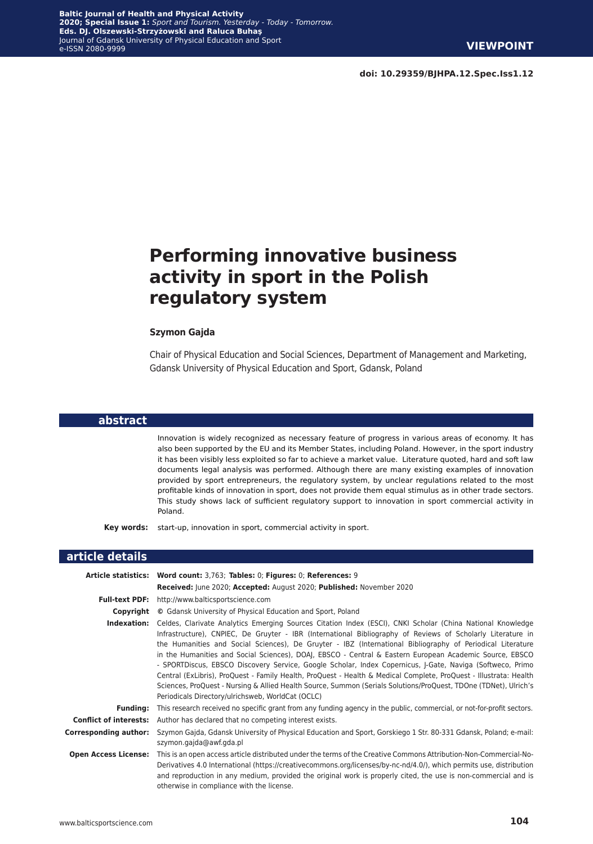**doi: 10.29359/BJHPA.12.Spec.Iss1.12**

## **Performing innovative business activity in sport in the Polish regulatory system**

#### **Szymon Gajda**

Chair of Physical Education and Social Sciences, Department of Management and Marketing, Gdansk University of Physical Education and Sport, Gdansk, Poland

#### **abstract**

Innovation is widely recognized as necessary feature of progress in various areas of economy. It has also been supported by the EU and its Member States, including Poland. However, in the sport industry it has been visibly less exploited so far to achieve a market value. Literature quoted, hard and soft law documents legal analysis was performed. Although there are many existing examples of innovation provided by sport entrepreneurs, the regulatory system, by unclear regulations related to the most profitable kinds of innovation in sport, does not provide them equal stimulus as in other trade sectors. This study shows lack of sufficient regulatory support to innovation in sport commercial activity in Poland.

**Key words:** start-up, innovation in sport, commercial activity in sport.

#### **article details**

|                              | Article statistics: Word count: 3,763; Tables: 0; Figures: 0; References: 9                                                                                                                                                                                                                                                                                                                                                                                                                                                                                                                                                                                                                                                                                                                                                                                   |
|------------------------------|---------------------------------------------------------------------------------------------------------------------------------------------------------------------------------------------------------------------------------------------------------------------------------------------------------------------------------------------------------------------------------------------------------------------------------------------------------------------------------------------------------------------------------------------------------------------------------------------------------------------------------------------------------------------------------------------------------------------------------------------------------------------------------------------------------------------------------------------------------------|
|                              | Received: June 2020; Accepted: August 2020; Published: November 2020                                                                                                                                                                                                                                                                                                                                                                                                                                                                                                                                                                                                                                                                                                                                                                                          |
| <b>Full-text PDF:</b>        | http://www.balticsportscience.com                                                                                                                                                                                                                                                                                                                                                                                                                                                                                                                                                                                                                                                                                                                                                                                                                             |
|                              | <b>Copyright</b> © Gdansk University of Physical Education and Sport, Poland                                                                                                                                                                                                                                                                                                                                                                                                                                                                                                                                                                                                                                                                                                                                                                                  |
| Indexation:                  | Celdes, Clarivate Analytics Emerging Sources Citation Index (ESCI), CNKI Scholar (China National Knowledge<br>Infrastructure), CNPIEC, De Gruyter - IBR (International Bibliography of Reviews of Scholarly Literature in<br>the Humanities and Social Sciences), De Gruyter - IBZ (International Bibliography of Periodical Literature<br>in the Humanities and Social Sciences), DOAJ, EBSCO - Central & Eastern European Academic Source, EBSCO<br>- SPORTDiscus, EBSCO Discovery Service, Google Scholar, Index Copernicus, J-Gate, Naviga (Softweco, Primo<br>Central (ExLibris), ProQuest - Family Health, ProQuest - Health & Medical Complete, ProQuest - Illustrata: Health<br>Sciences, ProQuest - Nursing & Allied Health Source, Summon (Serials Solutions/ProQuest, TDOne (TDNet), Ulrich's<br>Periodicals Directory/ulrichsweb, WorldCat (OCLC) |
| <b>Funding:</b>              | This research received no specific grant from any funding agency in the public, commercial, or not-for-profit sectors.                                                                                                                                                                                                                                                                                                                                                                                                                                                                                                                                                                                                                                                                                                                                        |
|                              | <b>Conflict of interests:</b> Author has declared that no competing interest exists.                                                                                                                                                                                                                                                                                                                                                                                                                                                                                                                                                                                                                                                                                                                                                                          |
| <b>Corresponding author:</b> | Szymon Gajda, Gdansk University of Physical Education and Sport, Gorskiego 1 Str. 80-331 Gdansk, Poland; e-mail:<br>szymon.gajda@awf.gda.pl                                                                                                                                                                                                                                                                                                                                                                                                                                                                                                                                                                                                                                                                                                                   |
| <b>Open Access License:</b>  | This is an open access article distributed under the terms of the Creative Commons Attribution-Non-Commercial-No-<br>Derivatives 4.0 International (https://creativecommons.org/licenses/by-nc-nd/4.0/), which permits use, distribution<br>and reproduction in any medium, provided the original work is properly cited, the use is non-commercial and is<br>otherwise in compliance with the license.                                                                                                                                                                                                                                                                                                                                                                                                                                                       |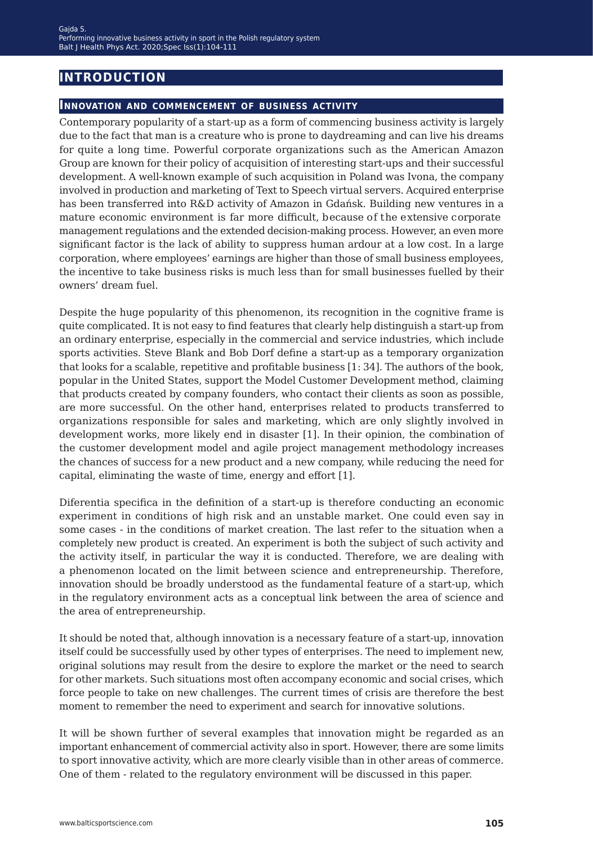## **introduction**

#### **Innovation and commencement of business activity**

Contemporary popularity of a start-up as a form of commencing business activity is largely due to the fact that man is a creature who is prone to daydreaming and can live his dreams for quite a long time. Powerful corporate organizations such as the American Amazon Group are known for their policy of acquisition of interesting start-ups and their successful development. A well-known example of such acquisition in Poland was Ivona, the company involved in production and marketing of Text to Speech virtual servers. Acquired enterprise has been transferred into R&D activity of Amazon in Gdańsk. Building new ventures in a mature economic environment is far more difficult, because of the extensive corporate management regulations and the extended decision-making process. However, an even more significant factor is the lack of ability to suppress human ardour at a low cost. In a large corporation, where employees' earnings are higher than those of small business employees, the incentive to take business risks is much less than for small businesses fuelled by their owners' dream fuel.

Despite the huge popularity of this phenomenon, its recognition in the cognitive frame is quite complicated. It is not easy to find features that clearly help distinguish a start-up from an ordinary enterprise, especially in the commercial and service industries, which include sports activities. Steve Blank and Bob Dorf define a start-up as a temporary organization that looks for a scalable, repetitive and profitable business [1: 34]. The authors of the book, popular in the United States, support the Model Customer Development method, claiming that products created by company founders, who contact their clients as soon as possible, are more successful. On the other hand, enterprises related to products transferred to organizations responsible for sales and marketing, which are only slightly involved in development works, more likely end in disaster [1]. In their opinion, the combination of the customer development model and agile project management methodology increases the chances of success for a new product and a new company, while reducing the need for capital, eliminating the waste of time, energy and effort [1].

Diferentia specifica in the definition of a start-up is therefore conducting an economic experiment in conditions of high risk and an unstable market. One could even say in some cases - in the conditions of market creation. The last refer to the situation when a completely new product is created. An experiment is both the subject of such activity and the activity itself, in particular the way it is conducted. Therefore, we are dealing with a phenomenon located on the limit between science and entrepreneurship. Therefore, innovation should be broadly understood as the fundamental feature of a start-up, which in the regulatory environment acts as a conceptual link between the area of science and the area of entrepreneurship.

It should be noted that, although innovation is a necessary feature of a start-up, innovation itself could be successfully used by other types of enterprises. The need to implement new, original solutions may result from the desire to explore the market or the need to search for other markets. Such situations most often accompany economic and social crises, which force people to take on new challenges. The current times of crisis are therefore the best moment to remember the need to experiment and search for innovative solutions.

It will be shown further of several examples that innovation might be regarded as an important enhancement of commercial activity also in sport. However, there are some limits to sport innovative activity, which are more clearly visible than in other areas of commerce. One of them - related to the regulatory environment will be discussed in this paper.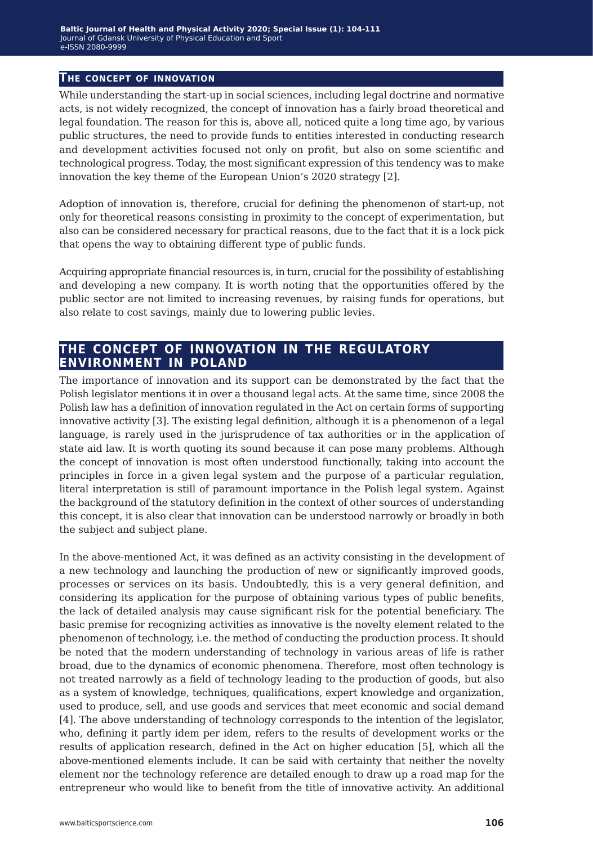#### **The concept of innovation**

While understanding the start-up in social sciences, including legal doctrine and normative acts, is not widely recognized, the concept of innovation has a fairly broad theoretical and legal foundation. The reason for this is, above all, noticed quite a long time ago, by various public structures, the need to provide funds to entities interested in conducting research and development activities focused not only on profit, but also on some scientific and technological progress. Today, the most significant expression of this tendency was to make innovation the key theme of the European Union's 2020 strategy [2].

Adoption of innovation is, therefore, crucial for defining the phenomenon of start-up, not only for theoretical reasons consisting in proximity to the concept of experimentation, but also can be considered necessary for practical reasons, due to the fact that it is a lock pick that opens the way to obtaining different type of public funds.

Acquiring appropriate financial resources is, in turn, crucial for the possibility of establishing and developing a new company. It is worth noting that the opportunities offered by the public sector are not limited to increasing revenues, by raising funds for operations, but also relate to cost savings, mainly due to lowering public levies.

### **the concept of innovation in the regulatory environment in poland**

The importance of innovation and its support can be demonstrated by the fact that the Polish legislator mentions it in over a thousand legal acts. At the same time, since 2008 the Polish law has a definition of innovation regulated in the Act on certain forms of supporting innovative activity [3]. The existing legal definition, although it is a phenomenon of a legal language, is rarely used in the jurisprudence of tax authorities or in the application of state aid law. It is worth quoting its sound because it can pose many problems. Although the concept of innovation is most often understood functionally, taking into account the principles in force in a given legal system and the purpose of a particular regulation, literal interpretation is still of paramount importance in the Polish legal system. Against the background of the statutory definition in the context of other sources of understanding this concept, it is also clear that innovation can be understood narrowly or broadly in both the subject and subject plane.

In the above-mentioned Act, it was defined as an activity consisting in the development of a new technology and launching the production of new or significantly improved goods, processes or services on its basis. Undoubtedly, this is a very general definition, and considering its application for the purpose of obtaining various types of public benefits, the lack of detailed analysis may cause significant risk for the potential beneficiary. The basic premise for recognizing activities as innovative is the novelty element related to the phenomenon of technology, i.e. the method of conducting the production process. It should be noted that the modern understanding of technology in various areas of life is rather broad, due to the dynamics of economic phenomena. Therefore, most often technology is not treated narrowly as a field of technology leading to the production of goods, but also as a system of knowledge, techniques, qualifications, expert knowledge and organization, used to produce, sell, and use goods and services that meet economic and social demand [4]. The above understanding of technology corresponds to the intention of the legislator, who, defining it partly idem per idem, refers to the results of development works or the results of application research, defined in the Act on higher education [5], which all the above-mentioned elements include. It can be said with certainty that neither the novelty element nor the technology reference are detailed enough to draw up a road map for the entrepreneur who would like to benefit from the title of innovative activity. An additional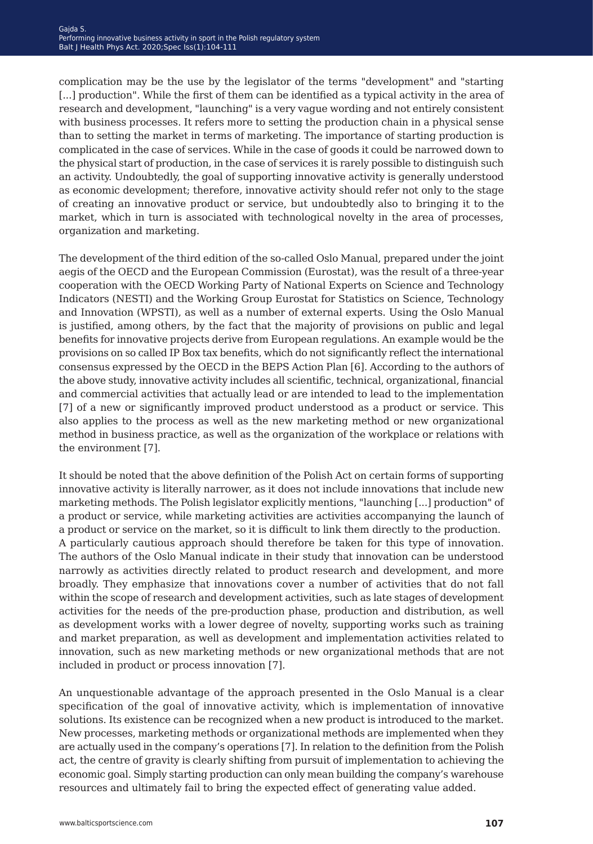complication may be the use by the legislator of the terms "development" and "starting [...] production". While the first of them can be identified as a typical activity in the area of research and development, "launching" is a very vague wording and not entirely consistent with business processes. It refers more to setting the production chain in a physical sense than to setting the market in terms of marketing. The importance of starting production is complicated in the case of services. While in the case of goods it could be narrowed down to the physical start of production, in the case of services it is rarely possible to distinguish such an activity. Undoubtedly, the goal of supporting innovative activity is generally understood as economic development; therefore, innovative activity should refer not only to the stage of creating an innovative product or service, but undoubtedly also to bringing it to the market, which in turn is associated with technological novelty in the area of processes, organization and marketing.

The development of the third edition of the so-called Oslo Manual, prepared under the joint aegis of the OECD and the European Commission (Eurostat), was the result of a three-year cooperation with the OECD Working Party of National Experts on Science and Technology Indicators (NESTI) and the Working Group Eurostat for Statistics on Science, Technology and Innovation (WPSTI), as well as a number of external experts. Using the Oslo Manual is justified, among others, by the fact that the majority of provisions on public and legal benefits for innovative projects derive from European regulations. An example would be the provisions on so called IP Box tax benefits, which do not significantly reflect the international consensus expressed by the OECD in the BEPS Action Plan [6]. According to the authors of the above study, innovative activity includes all scientific, technical, organizational, financial and commercial activities that actually lead or are intended to lead to the implementation [7] of a new or significantly improved product understood as a product or service. This also applies to the process as well as the new marketing method or new organizational method in business practice, as well as the organization of the workplace or relations with the environment [7].

It should be noted that the above definition of the Polish Act on certain forms of supporting innovative activity is literally narrower, as it does not include innovations that include new marketing methods. The Polish legislator explicitly mentions, "launching [...] production" of a product or service, while marketing activities are activities accompanying the launch of a product or service on the market, so it is difficult to link them directly the production. A particularly cautious approach should therefore be taken for this type of innovation. The authors of the Oslo Manual indicate in their study that innovation can be understood narrowly as activities directly related to product research and development, and more broadly. They emphasize that innovations cover a number of activities that do not fall within the scope of research and development activities, such as late stages of development activities for the needs of the pre-production phase, production and distribution, as well as development works with a lower degree of novelty, supporting works such as training and market preparation, as well as development and implementation activities related to innovation, such as new marketing methods or new organizational methods that are not included in product or process innovation [7].

An unquestionable advantage of the approach presented in the Oslo Manual is a clear specification of the goal of innovative activity, which is implementation of innovative solutions. Its existence can be recognized when a new product is introduced to the market. New processes, marketing methods or organizational methods are implemented when they are actually used in the company's operations [7]. In relation to the definition from the Polish act, the centre of gravity is clearly shifting from pursuit of implementation to achieving the economic goal. Simply starting production can only mean building the company's warehouse resources and ultimately fail to bring the expected effect of generating value added.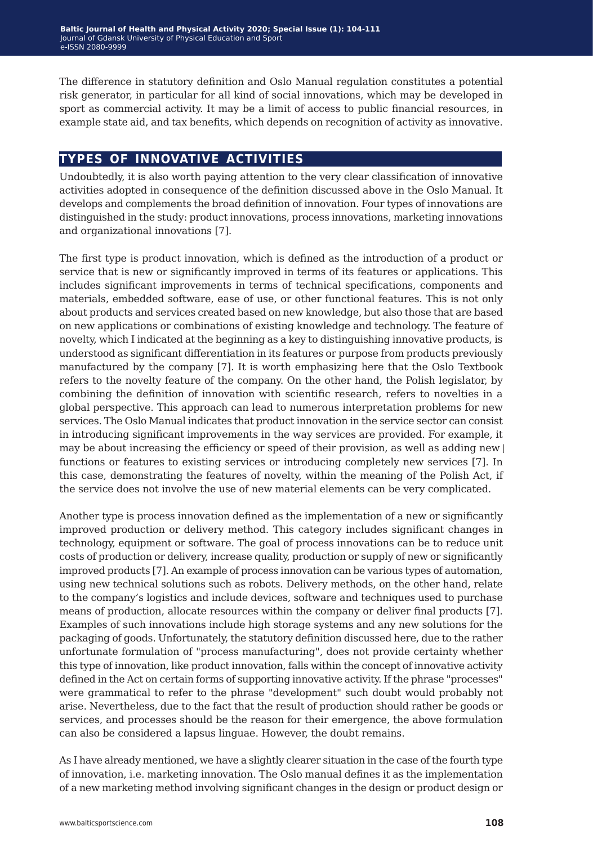The difference in statutory definition and Oslo Manual regulation constitutes a potential risk generator, in particular for all kind of social innovations, which may be developed in sport as commercial activity. It may be a limit of access to public financial resources, in example state aid, and tax benefits, which depends on recognition of activity as innovative.

## **types of innovative activities**

Undoubtedly, it is also worth paying attention to the very clear classification of innovative activities adopted in consequence of the definition discussed above in the Oslo Manual. It develops and complements the broad definition of innovation. Four types of innovations are distinguished in the study: product innovations, process innovations, marketing innovations and organizational innovations [7].

The first type is product innovation, which is defined as the introduction of a product or service that is new or significantly improved in terms of its features or applications. This includes significant improvements in terms of technical specifications, components and materials, embedded software, ease of use, or other functional features. This is not only about products and services created based on new knowledge, but also those that are based on new applications or combinations of existing knowledge and technology. The feature of novelty, which I indicated at the beginning as a key to distinguishing innovative products, is understood as significant differentiation in its features or purpose from products previously manufactured by the company [7]. It is worth emphasizing here that the Oslo Textbook refers to the novelty feature of the company. On the other hand, the Polish legislator, by combining the definition of innovation with scientific research, refers to novelties in a global perspective. This approach can lead to numerous interpretation problems for new services. The Oslo Manual indicates that product innovation in the service sector can consist in introducing significant improvements in the way services are provided. For example, it may be about increasing the efficiency or speed of their provision, as well as adding new  $|$ functions or features to existing services or introducing completely new services [7]. In this case, demonstrating the features of novelty, within the meaning of the Polish Act, if the service does not involve the use of new material elements can be very complicated.

Another type is process innovation defined as the implementation of a new or significantly improved production or delivery method. This category includes significant changes in technology, equipment or software. The goal of process innovations can be to reduce unit costs of production or delivery, increase quality, production or supply of new or significantly improved products [7]. An example of process innovation can be various types of automation, using new technical solutions such as robots. Delivery methods, on the other hand, relate to the company's logistics and include devices, software and techniques used to purchase means of production, allocate resources within the company or deliver final products [7]. Examples of such innovations include high storage systems and any new solutions for the packaging of goods. Unfortunately, the statutory definition discussed here, due to the rather unfortunate formulation of "process manufacturing", does not provide certainty whether this type of innovation, like product innovation, falls within the concept of innovative activity defined in the Act on certain forms of supporting innovative activity. If the phrase "processes" were grammatical to refer to the phrase "development" such doubt would probably not arise. Nevertheless, due to the fact that the result of production should rather be goods or services, and processes should be the reason for their emergence, the above formulation can also be considered a lapsus linguae. However, the doubt remains.

As I have already mentioned, we have a slightly clearer situation in the case of the fourth type of innovation, i.e. marketing innovation. The Oslo manual defines it as the implementation of a new marketing method involving significant changes in the design or product design or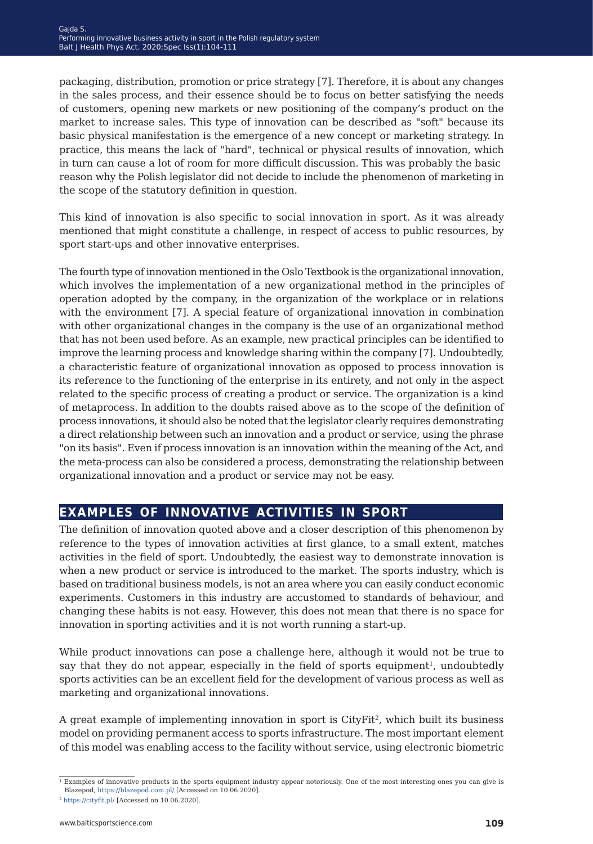packaging, distribution, promotion or price strategy [7]. Therefore, it is about any changes in the sales process, and their essence should be to focus on better satisfying the needs of customers, opening new markets or new positioning of the company's product on the market to increase sales. This type of innovation can be described as "soft" because its basic physical manifestation is the emergence of a new concept or marketing strategy. In practice, this means the lack of "hard", technical or physical results of innovation, which in turn can cause a lot of room for more difficult discussion. This was probably the basic reason why the Polish legislator did not decide to include the phenomenon of marketing in the scope of the statutory definition in question.

This kind of innovation is also specific to social innovation in sport. As it was already mentioned that might constitute a challenge, in respect of access to public resources, by sport start-ups and other innovative enterprises.

The fourth type of innovation mentioned in the Oslo Textbook is the organizational innovation, which involves the implementation of a new organizational method in the principles of operation adopted by the company, in the organization of the workplace or in relations with the environment [7]. A special feature of organizational innovation in combination with other organizational changes in the company is the use of an organizational method that has not been used before. As an example, new practical principles can be identified to improve the learning process and knowledge sharing within the company [7]. Undoubtedly, a characteristic feature of organizational innovation as opposed to process innovation is its reference to the functioning of the enterprise in its entirety, and not only in the aspect related to the specific process of creating a product or service. The organization is a kind of metaprocess. In addition to the doubts raised above as to the scope of the definition of process innovations, it should also be noted that the legislator clearly requires demonstrating a direct relationship between such an innovation and a product or service, using the phrase "on its basis". Even if process innovation is an innovation within the meaning of the Act, and the meta-process can also be considered a process, demonstrating the relationship between organizational innovation and a product or service may not be easy.

## **examples of innovative activities in sport**

The definition of innovation quoted above and a closer description of this phenomenon by reference to the types of innovation activities at first glance, to a small extent, matches activities in the field of sport. Undoubtedly, the easiest way to demonstrate innovation is when a new product or service is introduced to the market. The sports industry, which is based on traditional business models, is not an area where you can easily conduct economic experiments. Customers in this industry are accustomed to standards of behaviour, and changing these habits is not easy. However, this does not mean that there is no space for innovation in sporting activities and it is not worth running a start-up.

While product innovations can pose a challenge here, although it would not be true to say that they do not appear, especially in the field of sports equipment<sup>1</sup>, undoubtedly sports activities can be an excellent field for the development of various process as well as marketing and organizational innovations.

A great example of implementing innovation in sport is CityFit<sup>2</sup>, which built its business model on providing permanent access to sports infrastructure. The most important element of this model was enabling access to the facility without service, using electronic biometric

<sup>&</sup>lt;sup>1</sup> Examples of innovative products in the sports equipment industry appear notoriously. One of the most interesting ones you can give is Blazepod, <https://blazepod.com.pl/>[Accessed on 10.06.2020].

<sup>2</sup> [https://cityfit.pl/ \[](https://cityfit.pl/ )Accessed on 10.06.2020].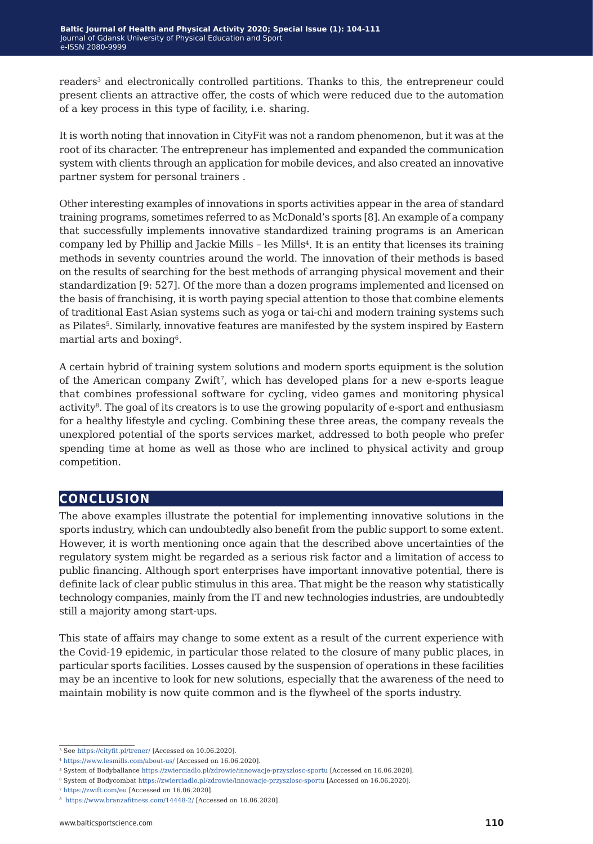readers<sup>3</sup> and electronically controlled partitions. Thanks to this, the entrepreneur could present clients an attractive offer, the costs of which were reduced due to the automation of a key process in this type of facility, i.e. sharing.

It is worth noting that innovation in CityFit was not a random phenomenon, but it was at the root of its character. The entrepreneur has implemented and expanded the communication system with clients through an application for mobile devices, and also created an innovative partner system for personal trainers .

Other interesting examples of innovations in sports activities appear in the area of standard training programs, sometimes referred to as McDonald's sports [8]. An example of a company that successfully implements innovative standardized training programs is an American company led by Phillip and Jackie Mills – les Mills<sup>4</sup>. It is an entity that licenses its training methods in seventy countries around the world. The innovation of their methods is based on the results of searching for the best methods of arranging physical movement and their standardization [9: 527]. Of the more than a dozen programs implemented and licensed on the basis of franchising, it is worth paying special attention to those that combine elements of traditional East Asian systems such as yoga or tai-chi and modern training systems such as Pilates<sup>5</sup>. Similarly, innovative features are manifested by the system inspired by Eastern martial arts and boxing<sup>6</sup>.

A certain hybrid of training system solutions and modern sports equipment is the solution of the American company Zwift<sup>7</sup>, which has developed plans for a new e-sports league that combines professional software for cycling, video games and monitoring physical activity<sup>8</sup>. The goal of its creators is to use the growing popularity of e-sport and enthusiasm for a healthy lifestyle and cycling. Combining these three areas, the company reveals the unexplored potential of the sports services market, addressed to both people who prefer spending time at home as well as those who are inclined to physical activity and group competition.

### **conclusion**

The above examples illustrate the potential for implementing innovative solutions in the sports industry, which can undoubtedly also benefit from the public support to some extent. However, it is worth mentioning once again that the described above uncertainties of the regulatory system might be regarded as a serious risk factor and a limitation of access to public financing. Although sport enterprises have important innovative potential, there is definite lack of clear public stimulus in this area. That might be the reason why statistically technology companies, mainly from the IT and new technologies industries, are undoubtedly still a majority among start-ups.

This state of affairs may change to some extent as a result of the current experience with the Covid-19 epidemic, in particular those related to the closure of many public places, in particular sports facilities. Losses caused by the suspension of operations in these facilities may be an incentive to look for new solutions, especially that the awareness of the need to maintain mobility is now quite common and is the flywheel of the sports industry.

<sup>3</sup> See <https://cityfit.pl/trener/>[Accessed on 10.06.2020].

<sup>4</sup> <https://www.lesmills.com/about-us/> [Accessed on 16.06.2020].

<sup>5</sup> System of Bodyballance<https://zwierciadlo.pl/zdrowie/innowacje-przyszlosc-sportu>[Accessed on 16.06.2020].

<sup>6</sup> System of Bodycombat<https://zwierciadlo.pl/zdrowie/innowacje-przyszlosc-sportu>[Accessed on 16.06.2020].

<sup>7</sup> <https://zwift.com/eu> [Accessed on 16.06.2020].

<sup>8</sup> <https://www.branzafitness.com/14448-2/> [Accessed on 16.06.2020].